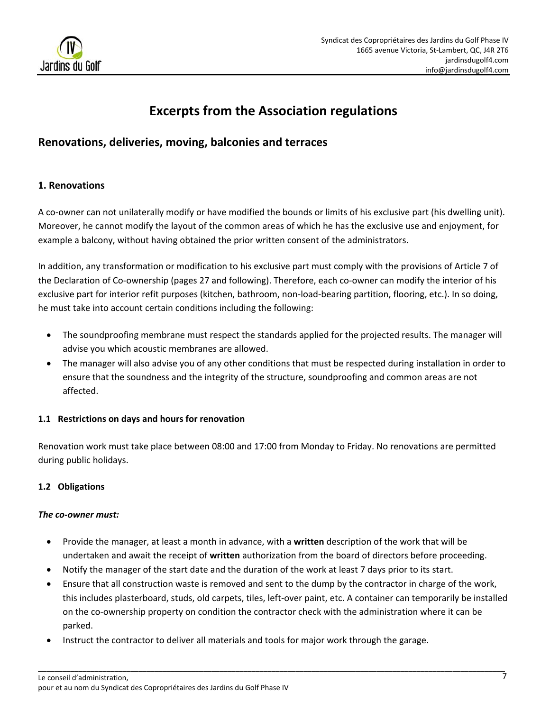

# **Excerpts from the Association regulations**

## **Renovations, deliveries, moving, balconies and terraces**

## **1. Renovations**

A co-owner can not unilaterally modify or have modified the bounds or limits of his exclusive part (his dwelling unit). Moreover, he cannot modify the layout of the common areas of which he has the exclusive use and enjoyment, for example a balcony, without having obtained the prior written consent of the administrators.

In addition, any transformation or modification to his exclusive part must comply with the provisions of Article 7 of the Declaration of Co-ownership (pages 27 and following). Therefore, each co-owner can modify the interior of his exclusive part for interior refit purposes (kitchen, bathroom, non-load-bearing partition, flooring, etc.). In so doing, he must take into account certain conditions including the following:

- The soundproofing membrane must respect the standards applied for the projected results. The manager will advise you which acoustic membranes are allowed.
- The manager will also advise you of any other conditions that must be respected during installation in order to ensure that the soundness and the integrity of the structure, soundproofing and common areas are not affected.

#### **1.1 Restrictions on days and hours for renovation**

Renovation work must take place between 08:00 and 17:00 from Monday to Friday. No renovations are permitted during public holidays.

## **1.2 Obligations**

#### *The co‐owner must:*

- Provide the manager, at least a month in advance, with a **written** description of the work that will be undertaken and await the receipt of **written** authorization from the board of directors before proceeding.
- Notify the manager of the start date and the duration of the work at least 7 days prior to its start.
- Ensure that all construction waste is removed and sent to the dump by the contractor in charge of the work, this includes plasterboard, studs, old carpets, tiles, left‐over paint, etc. A container can temporarily be installed on the co-ownership property on condition the contractor check with the administration where it can be parked.
- Instruct the contractor to deliver all materials and tools for major work through the garage.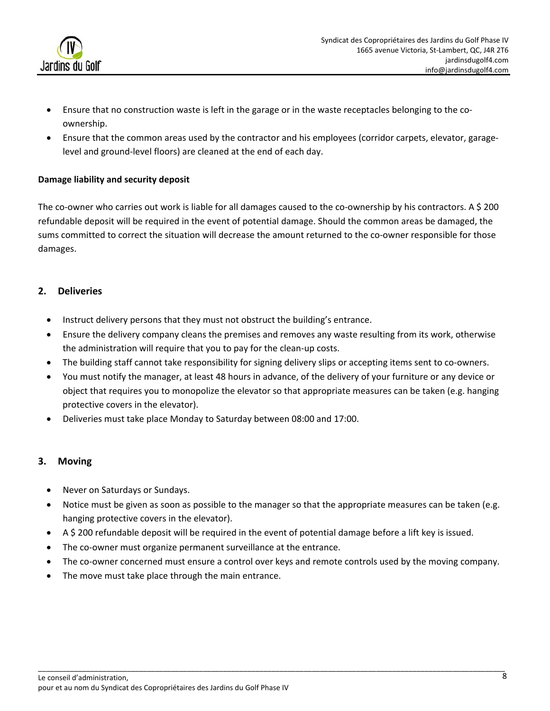

- Ensure that no construction waste is left in the garage or in the waste receptacles belonging to the co‐ ownership.
- Ensure that the common areas used by the contractor and his employees (corridor carpets, elevator, garage‐ level and ground‐level floors) are cleaned at the end of each day.

#### **Damage liability and security deposit**

The co-owner who carries out work is liable for all damages caused to the co-ownership by his contractors. A \$ 200 refundable deposit will be required in the event of potential damage. Should the common areas be damaged, the sums committed to correct the situation will decrease the amount returned to the co-owner responsible for those damages.

#### **2. Deliveries**

- Instruct delivery persons that they must not obstruct the building's entrance.
- Ensure the delivery company cleans the premises and removes any waste resulting from its work, otherwise the administration will require that you to pay for the clean‐up costs.
- The building staff cannot take responsibility for signing delivery slips or accepting items sent to co-owners.
- You must notify the manager, at least 48 hours in advance, of the delivery of your furniture or any device or object that requires you to monopolize the elevator so that appropriate measures can be taken (e.g. hanging protective covers in the elevator).
- Deliveries must take place Monday to Saturday between 08:00 and 17:00.

#### **3. Moving**

- Never on Saturdays or Sundays.
- Notice must be given as soon as possible to the manager so that the appropriate measures can be taken (e.g. hanging protective covers in the elevator).
- A \$ 200 refundable deposit will be required in the event of potential damage before a lift key is issued.
- The co-owner must organize permanent surveillance at the entrance.
- The co-owner concerned must ensure a control over keys and remote controls used by the moving company.
- The move must take place through the main entrance.